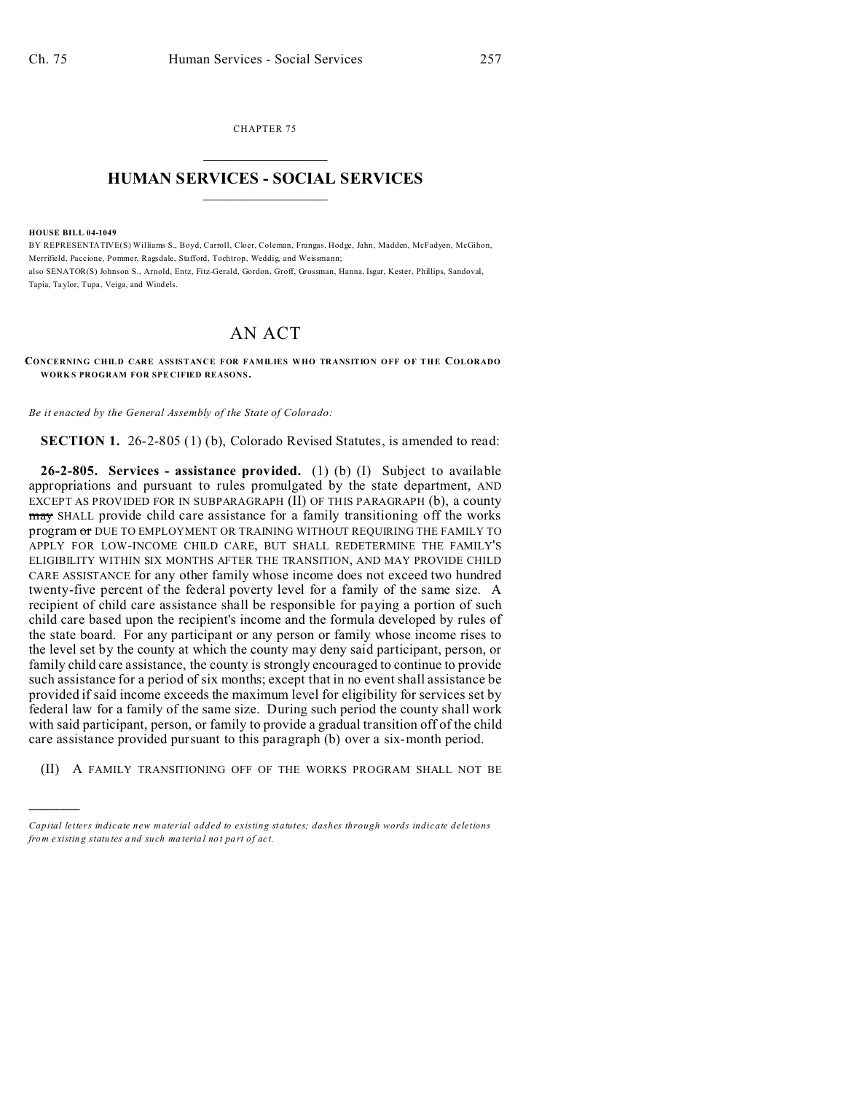CHAPTER 75  $\overline{\phantom{a}}$  , where  $\overline{\phantom{a}}$ 

## **HUMAN SERVICES - SOCIAL SERVICES**  $\frac{1}{2}$  ,  $\frac{1}{2}$  ,  $\frac{1}{2}$  ,  $\frac{1}{2}$  ,  $\frac{1}{2}$  ,  $\frac{1}{2}$  ,  $\frac{1}{2}$

## **HOUSE BILL 04-1049**

)))))

BY REPRESENTATIVE(S) Williams S., Boyd, Carroll, Cloer, Coleman, Frangas, Hodge, Jahn, Madden, McFadyen, McGihon, Merrifield, Paccione, Pommer, Ragsdale, Stafford, Tochtrop, Weddig, and Weissmann; also SENATOR(S) Johnson S., Arnold, Entz, Fitz-Gerald, Gordon, Groff, Grossman, Hanna, Isgar, Kester, Phillips, Sandoval, Tapia, Taylor, Tupa, Veiga, and Windels.

## AN ACT

**CONCERNING CHILD CARE ASSISTANCE FOR FAMILIES WHO TRANSITION OFF OF THE COLORADO WORK S PROGRAM FOR SPE CIFIED REASONS.**

*Be it enacted by the General Assembly of the State of Colorado:*

**SECTION 1.** 26-2-805 (1) (b), Colorado Revised Statutes, is amended to read:

**26-2-805. Services - assistance provided.** (1) (b) (I) Subject to available appropriations and pursuant to rules promulgated by the state department, AND EXCEPT AS PROVIDED FOR IN SUBPARAGRAPH (II) OF THIS PARAGRAPH (b), a county may SHALL provide child care assistance for a family transitioning off the works program or DUE TO EMPLOYMENT OR TRAINING WITHOUT REQUIRING THE FAMILY TO APPLY FOR LOW-INCOME CHILD CARE, BUT SHALL REDETERMINE THE FAMILY'S ELIGIBILITY WITHIN SIX MONTHS AFTER THE TRANSITION, AND MAY PROVIDE CHILD CARE ASSISTANCE for any other family whose income does not exceed two hundred twenty-five percent of the federal poverty level for a family of the same size. A recipient of child care assistance shall be responsible for paying a portion of such child care based upon the recipient's income and the formula developed by rules of the state board. For any participant or any person or family whose income rises to the level set by the county at which the county may deny said participant, person, or family child care assistance, the county is strongly encouraged to continue to provide such assistance for a period of six months; except that in no event shall assistance be provided if said income exceeds the maximum level for eligibility for services set by federal law for a family of the same size. During such period the county shall work with said participant, person, or family to provide a gradual transition off of the child care assistance provided pursuant to this paragraph (b) over a six-month period.

(II) A FAMILY TRANSITIONING OFF OF THE WORKS PROGRAM SHALL NOT BE

*Capital letters indicate new material added to existing statutes; dashes through words indicate deletions from e xistin g statu tes a nd such ma teria l no t pa rt of ac t.*